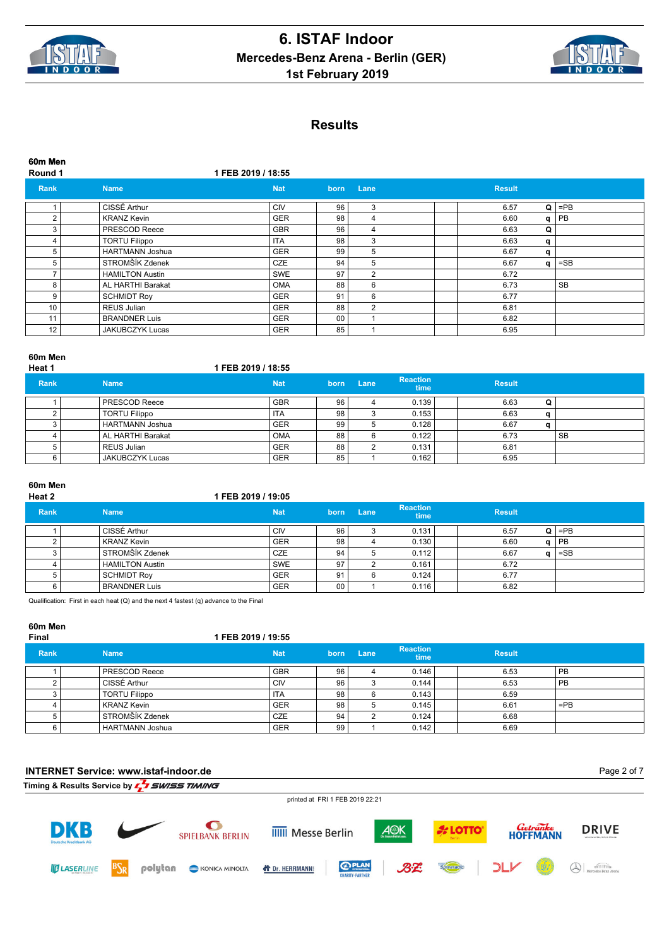



**60m Men Round 1 1 FEB 2019 / 18:55 Rank Name Nat born Lane Result** 1 CISSÉ Arthur CIV 96 3 6.57 **Q** =PB 2 KRANZ Kevin GER 98 4 6.60 **q** PB 3 PRESCOD Reece GBR 96 4 6.63 **Q** 4 TORTU Filippo ITA 98 3 6.63 **q** 5 HARTMANN Joshua GER 99 5 6.67 **q** 5 STROMŠÍK Zdenek CZE 94 5 6.67 **q** =SB T HAMILTON Austin SWE 97 2 6.72<br>8 AL HARTHI Barakat 0 OMA 88 6 6 6.73 8 AL HARTHI Barakat OMA 88 6 6 6.73 SB 9 SCHMIDT Roy GER 91 6 6.77<br>10 REUS Julian GER 88 2 6.81 REUS Julian GER 88 2 6.81 11 BRANDNER Luis GER 00 1 6.82<br>12 JAKUBCZYK Lucas GER 85 1 6.95 12 JAKUBCZYK Lucas GER 85 1 6.95

#### **60m Men**

| Heat 1      |                        | 1 FEB 2019 / 18:55 |      |      |                         |               |   |    |
|-------------|------------------------|--------------------|------|------|-------------------------|---------------|---|----|
| <b>Rank</b> | <b>Name</b>            | <b>Nat</b>         | born | Lane | <b>Reaction</b><br>time | <b>Result</b> |   |    |
|             | <b>PRESCOD Reece</b>   | <b>GBR</b>         | 96   |      | 0.139                   | 6.63          | Q |    |
|             | <b>TORTU Filippo</b>   | <b>ITA</b>         | 98   | 3    | 0.153                   | 6.63          |   |    |
|             | <b>HARTMANN Joshua</b> | <b>GER</b>         | 99   | 5    | 0.128                   | 6.67          |   |    |
|             | AL HARTHI Barakat      | <b>OMA</b>         | 88   | 6    | 0.122                   | 6.73          |   | SB |
|             | <b>REUS Julian</b>     | <b>GER</b>         | 88   | ◠    | 0.131                   | 6.81          |   |    |
| 6           | JAKUBCZYK Lucas        | <b>GER</b>         | 85   |      | 0.162                   | 6.95          |   |    |

# **60m Men**

| Heat 2 | 1 FEB 2019 / 19:05 |  |
|--------|--------------------|--|
|        |                    |  |

| <b>Rank</b> | <b>Name</b>            | <b>Nat</b> | born | Lane | <b>Reaction</b><br>time | <b>Result</b> |           |
|-------------|------------------------|------------|------|------|-------------------------|---------------|-----------|
|             | ∟CISSÉ Arthur          | CIV        | 96   |      | 0.131                   | 6.57          | $Q$   =PB |
|             | KRANZ Kevin            | <b>GER</b> | 98   |      | 0.130                   | 6.60          | $a$   PB  |
|             | STROMŠÍK Zdenek        | CZE        | 94   |      | 0.112                   | 6.67          | $=$ SB    |
|             | <b>HAMILTON Austin</b> | l SWE      | 97   |      | 0.161                   | 6.72          |           |
|             | <b>SCHMIDT Roy</b>     | <b>GER</b> | 91   | 6    | 0.124                   | 6.77          |           |
|             | BRANDNER Luis          | <b>GER</b> | 00   |      | 0.116                   | 6.82          |           |

Qualification: First in each heat (Q) and the next 4 fastest (q) advance to the Final

#### **60m Men**

| ----- -----<br>Final |                        | 1 FEB 2019 / 19:55 |                 |      |                         |               |           |  |
|----------------------|------------------------|--------------------|-----------------|------|-------------------------|---------------|-----------|--|
| <b>Rank</b>          | <b>Name</b>            | <b>Nat</b>         | born            | Lane | <b>Reaction</b><br>time | <b>Result</b> |           |  |
|                      | <b>PRESCOD Reece</b>   | <b>GBR</b>         | 96 <sub>1</sub> |      | 0.146                   | 6.53          | PB        |  |
|                      | CISSÉ Arthur           | CIV                | 96              |      | 0.144                   | 6.53          | <b>PB</b> |  |
|                      | <b>TORTU Filippo</b>   | <b>ITA</b>         | 98              | 6    | 0.143                   | 6.59          |           |  |
|                      | <b>KRANZ Kevin</b>     | <b>GER</b>         | 98 i            | 5    | 0.145                   | 6.61          | $=$ PB    |  |
|                      | STROMŠÍK Zdenek        | <b>CZE</b>         | 94              | ົ    | 0.124                   | 6.68          |           |  |
|                      | <b>HARTMANN Joshua</b> | <b>GER</b>         | 99              |      | 0.142                   | 6.69          |           |  |

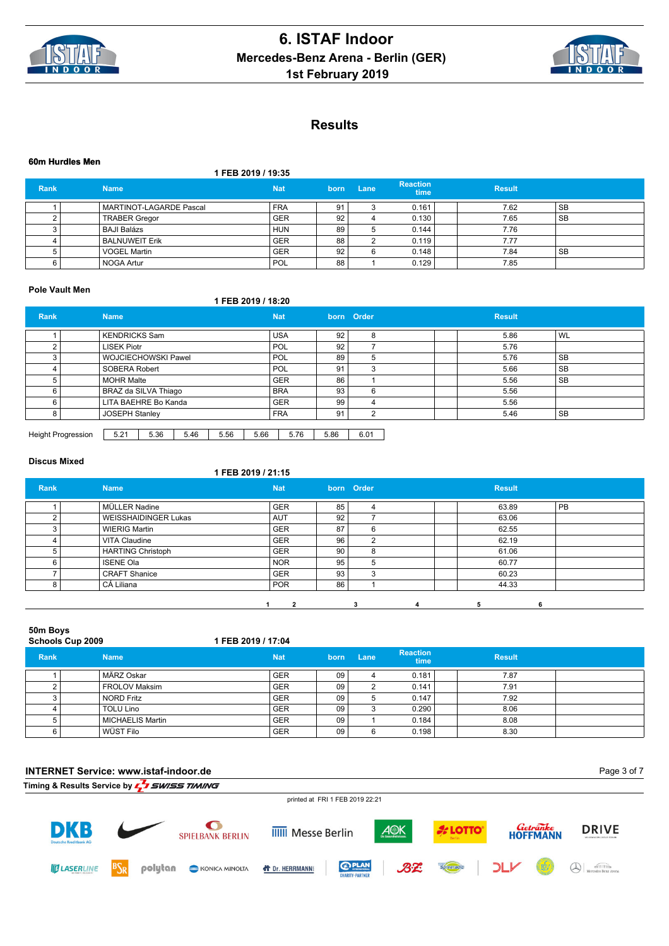



#### **60m Hurdles Men**

**1 FEB 2019 / 19:35**

| <b>Rank</b> | <b>Name</b>             | <b>Nat</b> | 'born | Lane | <b>Reaction</b><br>time | <b>Result</b> |           |
|-------------|-------------------------|------------|-------|------|-------------------------|---------------|-----------|
|             | MARTINOT-LAGARDE Pascal | <b>FRA</b> | 91    |      | 0.161                   | 7.62          | SB        |
|             | <b>TRABER Gregor</b>    | <b>GER</b> | 92    |      | 0.130                   | 7.65          | <b>SB</b> |
|             | <b>BAJI Balázs</b>      | <b>HUN</b> | 89    |      | 0.144                   | 7.76          |           |
|             | <b>BALNUWEIT Erik</b>   | <b>GER</b> | 88    |      | 0.119                   | 7.77          |           |
|             | <b>VOGEL Martin</b>     | <b>GER</b> | 92    | 6    | 0.148                   | 7.84          | SB        |
|             | NOGA Artur              | ' POL      | 88    |      | 0.129                   | 7.85          |           |

### **Pole Vault Men**

## **1 FEB 2019 / 18:20**

| <b>Rank</b> | <b>Name</b>                | <b>Nat</b> |    | born Order | <b>Result</b> |           |
|-------------|----------------------------|------------|----|------------|---------------|-----------|
|             | KENDRICKS Sam              | <b>USA</b> | 92 |            | 5.86          | <b>WL</b> |
|             | <b>LISEK Piotr</b>         | <b>POL</b> | 92 |            | 5.76          |           |
|             | <b>WOJCIECHOWSKI Pawel</b> | POL        | 89 |            | 5.76          | <b>SB</b> |
|             | SOBERA Robert              | <b>POL</b> | 91 | $\sqrt{2}$ | 5.66          | <b>SB</b> |
|             | <b>MOHR Malte</b>          | <b>GER</b> | 86 |            | 5.56          | <b>SB</b> |
|             | BRAZ da SILVA Thiago       | <b>BRA</b> | 93 | 6          | 5.56          |           |
|             | LITA BAEHRE Bo Kanda       | <b>GER</b> | 99 |            | 5.56          |           |
|             | <b>JOSEPH Stanley</b>      | <b>FRA</b> | 91 |            | 5.46          | <b>SB</b> |
|             |                            |            |    |            |               |           |

| <b>Height Progression</b> | $\sim$<br>-<br>ے.כ | 5.36 | .46 | 5.56 | 5.66 | 76<br> | 5.86 | 60 <sup>4</sup><br>v.v |
|---------------------------|--------------------|------|-----|------|------|--------|------|------------------------|

## **Discus Mixed**

| ----------- |                             | 1 FEB 2019 / 21:15 |                 |            |   |               |    |  |
|-------------|-----------------------------|--------------------|-----------------|------------|---|---------------|----|--|
| Rank        | <b>Name</b>                 | <b>Nat</b>         |                 | born Order |   | <b>Result</b> |    |  |
|             | MÜLLER Nadine               | <b>GER</b>         | 85              | 4          |   | 63.89         | PB |  |
| ∩           | <b>WEISSHAIDINGER Lukas</b> | <b>AUT</b>         | 92 <sub>1</sub> | –          |   | 63.06         |    |  |
| 3           | <b>WIERIG Martin</b>        | <b>GER</b>         | 87              | 6          |   | 62.55         |    |  |
|             | <b>VITA Claudine</b>        | <b>GER</b>         | 96              | 2          |   | 62.19         |    |  |
| 5           | <b>HARTING Christoph</b>    | <b>GER</b>         | 90              | 8          |   | 61.06         |    |  |
|             | <b>ISENE Ola</b>            | <b>NOR</b>         | 95              | 5          |   | 60.77         |    |  |
|             | <b>CRAFT Shanice</b>        | <b>GER</b>         | 93              | 3          |   | 60.23         |    |  |
| 8           | CÁ Liliana                  | <b>POR</b>         | 86              |            |   | 44.33         |    |  |
|             |                             | $\mathbf{2}$       |                 | 3          | 4 | 5             | 6  |  |

| 50m Boys<br>Schools Cup 2009 |  |                         | 1 FEB 2019 / 17:04 |                 |      |                         |               |  |
|------------------------------|--|-------------------------|--------------------|-----------------|------|-------------------------|---------------|--|
| <b>Rank</b>                  |  | <b>Name</b>             | <b>Nat</b>         | born            | Lane | <b>Reaction</b><br>time | <b>Result</b> |  |
|                              |  | MÄRZ Oskar              | <b>GER</b>         | 09              |      | 0.181                   | 7.87          |  |
|                              |  | <b>FROLOV Maksim</b>    | <b>GER</b>         | 09              | າ    | 0.141                   | 7.91          |  |
|                              |  | <b>NORD Fritz</b>       | <b>GER</b>         | 09 <sub>1</sub> | 5    | 0.147                   | 7.92          |  |
|                              |  | <b>TOLU Lino</b>        | <b>GER</b>         | 09              | 3    | 0.290                   | 8.06          |  |
|                              |  | <b>MICHAELIS Martin</b> | <b>GER</b>         | 09              |      | 0.184                   | 8.08          |  |
| 6                            |  | WÜST Filo               | <b>GER</b>         | 09 <sup>1</sup> | 6    | 0.198                   | 8.30          |  |

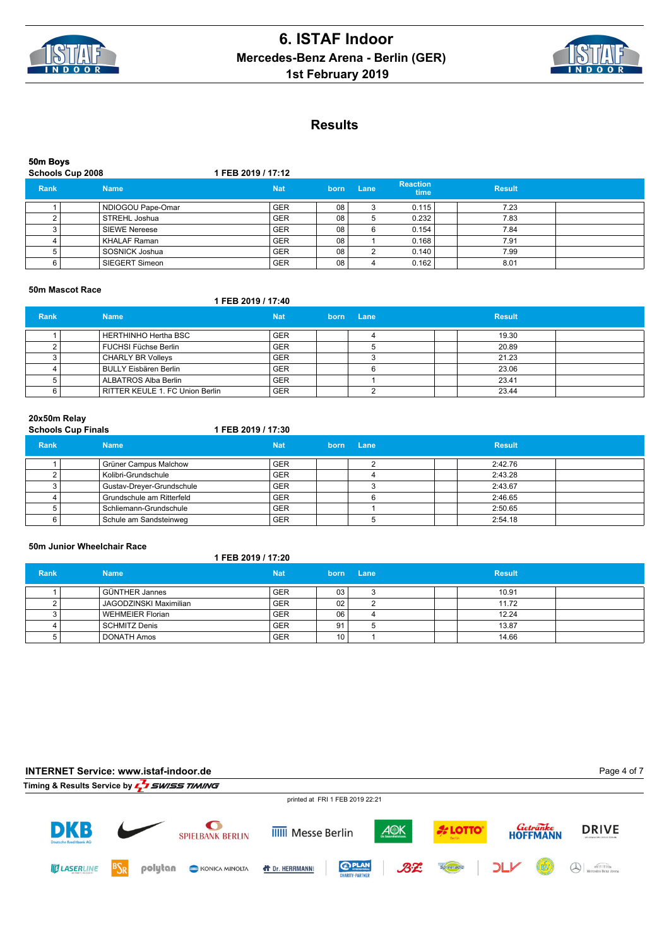



#### **50m Boys Schools Cup 2008 1 FEB 2019 / 17:12 Rank Name Nat born Lane Reaction Reaction**<br>time **Result** 1 NDIOGOU Pape-Omar GER 08 3 0.115 7.23<br>2 STREHL Joshua GER 08 5 0.232 7.83 2 STREHL Joshua GER 08 5 0.232 7.83 3 SIEWE Nereese GER 08 6 0.154 7.84<br>4 KHALAF Raman GER 08 1 0.168 7.91 4 KHALAF Raman GER 08 1 5 SOSNICK Joshua GER 08 2 0.140 7.99 6 SIEGERT Simeon GER 08 4 0.162 8.01

#### **50m Mascot Race**

## **1 FEB 2019 / 17:40**

| <b>Rank</b> | <b>Name</b>                     | <b>Nat</b> | born | <b>Lane</b> | <b>Result</b> |  |
|-------------|---------------------------------|------------|------|-------------|---------------|--|
|             | HERTHINHO Hertha BSC            | <b>GER</b> |      |             | 19.30         |  |
|             | FUCHSI Füchse Berlin            | <b>GER</b> |      |             | 20.89         |  |
|             | <b>CHARLY BR Volleys</b>        | <b>GER</b> |      |             | 21.23         |  |
|             | BULLY Eisbären Berlin           | <b>GER</b> |      |             | 23.06         |  |
|             | ALBATROS Alba Berlin            | <b>GER</b> |      |             | 23.41         |  |
|             | RITTER KEULE 1. FC Union Berlin | <b>GER</b> |      |             | 23.44         |  |

# **20x50m Relay Schools Cup Finals 1 FEB 2019 / 17:30**

| Rank | <b>Name</b>               | Nat        | born | Lane | <b>Result</b> |  |
|------|---------------------------|------------|------|------|---------------|--|
|      | Grüner Campus Malchow     | <b>GER</b> |      |      | 2:42.76       |  |
|      | Kolibri-Grundschule       | <b>GER</b> |      |      | 2:43.28       |  |
|      | Gustav-Dreyer-Grundschule | <b>GER</b> |      |      | 2:43.67       |  |
|      | Grundschule am Ritterfeld | <b>GER</b> |      |      | 2:46.65       |  |
|      | Schliemann-Grundschule    | <b>GER</b> |      |      | 2:50.65       |  |
|      | Schule am Sandsteinweg    | <b>GER</b> |      |      | 2:54.18       |  |

#### **50m Junior Wheelchair Race**

#### **1 FEB 2019 / 17:20**

| <b>Rank</b> | <b>Name</b>                   | <b>Nat</b> |                 | born Lane | <b>Result</b> |  |
|-------------|-------------------------------|------------|-----------------|-----------|---------------|--|
|             | GÜNTHER Jannes                | <b>GER</b> | 03              | ບ         | 10.91         |  |
|             | <b>JAGODZINSKI Maximilian</b> | <b>GER</b> | 02              |           | 11.72         |  |
|             | l WEHMEIER Florian            | <b>GER</b> | 06              |           | 12.24         |  |
|             | l SCHMITZ Denis               | <b>GER</b> | 91              |           | 13.87         |  |
|             | DONATH Amos                   | <b>GER</b> | 10 <sub>1</sub> |           | 14.66         |  |

## **INTERNET Service: www.istaf-indoor.de Timing & Results Service by**  $\sqrt{2}$  **SWISS TIMING**

Page 4 of 7

**DRIVE** 

Mercedes-Benz Arena

*Getränke*<br>HOFFMANN









 $QPL$ 

**LOTTO** 

Spreeradio

BZ



**ID LASERLINE** 



**IIIII** Messe Berlin

**T** Dr. HERRMANN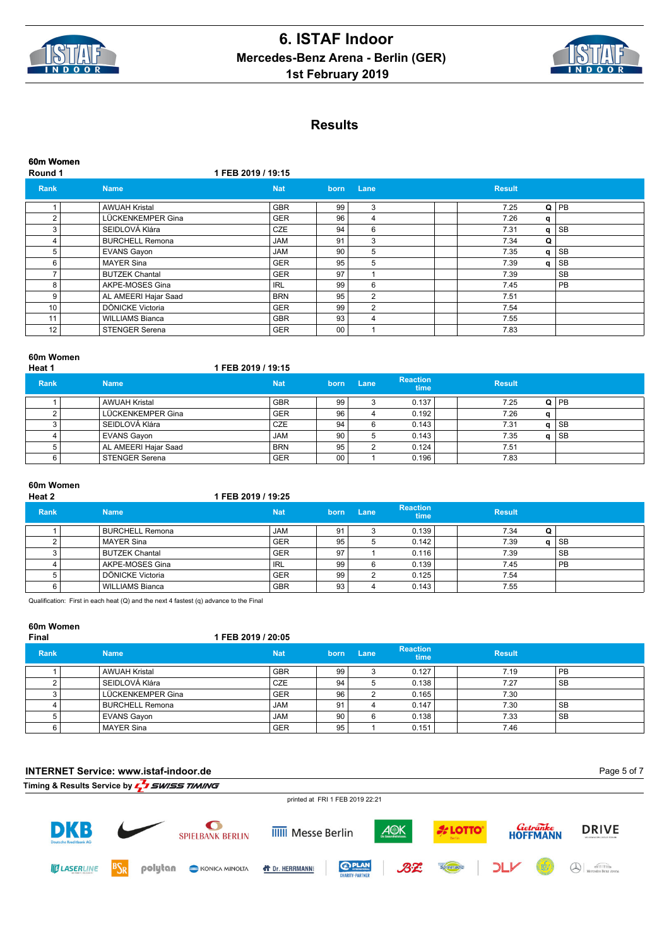



| 60m Women<br>Round 1 | 1 FEB 2019 / 19:15     |            |      |      |               |        |           |
|----------------------|------------------------|------------|------|------|---------------|--------|-----------|
| <b>Rank</b>          | <b>Name</b>            | <b>Nat</b> | born | Lane | <b>Result</b> |        |           |
|                      | <b>AWUAH Kristal</b>   | <b>GBR</b> | 99   | 3    | 7.25          | $Q$ PB |           |
| 2                    | LÜCKENKEMPER Gina      | <b>GER</b> | 96   | 4    | 7.26          | q      |           |
| 3                    | SEIDLOVÁ Klára         | CZE        | 94   | 6    | 7.31          | $q$ SB |           |
| 4                    | <b>BURCHELL Remona</b> | <b>JAM</b> | 91   | 3    | 7.34          | Q      |           |
| 5                    | <b>EVANS Gayon</b>     | <b>JAM</b> | 90   | 5    | 7.35          | q      | <b>SB</b> |
| 6                    | <b>MAYER Sina</b>      | <b>GER</b> | 95   | 5    | 7.39          | q      | SB        |
| $\overline{ }$       | <b>BUTZEK Chantal</b>  | <b>GER</b> | 97   |      | 7.39          |        | <b>SB</b> |
| 8                    | AKPE-MOSES Gina        | <b>IRL</b> | 99   | 6    | 7.45          |        | PB        |
| 9                    | AL AMEERI Hajar Saad   | <b>BRN</b> | 95   | 2    | 7.51          |        |           |
| 10 <sup>°</sup>      | DÖNICKE Victoria       | <b>GER</b> | 99   | 2    | 7.54          |        |           |
| 11                   | <b>WILLIAMS Bianca</b> | <b>GBR</b> | 93   | 4    | 7.55          |        |           |
| 12                   | <b>STENGER Serena</b>  | <b>GER</b> | 00   |      | 7.83          |        |           |

### **60m Women**

| Heat 1      |                      | 1 FEB 2019 / 19:15 |      |      |                         |               |              |      |
|-------------|----------------------|--------------------|------|------|-------------------------|---------------|--------------|------|
| <b>Rank</b> | <b>Name</b>          | <b>Nat</b>         | born | Lane | <b>Reaction</b><br>time | <b>Result</b> |              |      |
|             | l AWUAH Kristal      | <b>GBR</b>         | 99   |      | 0.137                   | 7.25          | $\Omega$     | l PB |
|             | LÜCKENKEMPER Gina    | <b>GER</b>         | 96   |      | 0.192                   | 7.26          | $\mathbf{a}$ |      |
|             | l SEIDLOVÁ Klára     | <b>CZE</b>         | 94   | 6    | 0.143                   | 7.31          | α            | SB   |
|             | <b>EVANS Gayon</b>   | <b>JAM</b>         | 90   | b    | 0.143                   | 7.35          | a            | SB   |
|             | AL AMEERI Hajar Saad | <b>BRN</b>         | 95   | ົ    | 0.124                   | 7.51          |              |      |
|             | STENGER Serena       | <b>GER</b>         | 00   |      | 0.196                   | 7.83          |              |      |

# **60m Women**

#### **Heat 2 1 FEB 2019 / 19:25**

| <b>Rank</b> | <b>Name</b>            | <b>Nat</b> | born | Lane | <b>Reaction</b><br>time | <b>Result</b> |              |           |
|-------------|------------------------|------------|------|------|-------------------------|---------------|--------------|-----------|
|             | <b>BURCHELL Remona</b> | <b>JAM</b> | -91  |      | 0.139                   | 7.34          | Q            |           |
|             | <b>MAYER Sina</b>      | <b>GER</b> | 95   | 5    | 0.142                   | 7.39          | $\mathbf{u}$ | SB        |
|             | BUTZEK Chantal         | <b>GER</b> | 97   |      | 0.116                   | 7.39          |              | ' SB      |
|             | AKPE-MOSES Gina        | <b>IRL</b> | 99   |      | 0.139                   | 7.45          |              | <b>PB</b> |
|             | DÖNICKE Victoria       | <b>GER</b> | 99   |      | 0.125                   | 7.54          |              |           |
|             | WILLIAMS Bianca        | <b>GBR</b> | 93   |      | 0.143                   | 7.55          |              |           |

Qualification: First in each heat (Q) and the next 4 fastest (q) advance to the Final

### **60m Women**

| <b>Final</b> |                    | 1 FEB 2019 / 20:05 |      |      |                                |               |           |
|--------------|--------------------|--------------------|------|------|--------------------------------|---------------|-----------|
| <b>Rank</b>  | <b>Name</b>        | <b>Nat</b>         | born | Lane | <b>Reaction</b><br><b>time</b> | <b>Result</b> |           |
|              | l AWUAH Kristal    | <b>GBR</b>         | 99   |      | 0.127                          | 7.19          | <b>PB</b> |
|              | l SEIDLOVÁ Klára   | <b>CZE</b>         | 94   |      | 0.138                          | 7.27          | <b>SB</b> |
|              | LÜCKENKEMPER Gina  | <b>GER</b>         | 96   |      | 0.165                          | 7.30          |           |
|              | BURCHELL Remona    | <b>JAM</b>         | 91   |      | 0.147                          | 7.30          | <b>SB</b> |
|              | <b>EVANS Gayon</b> | <b>JAM</b>         | 90   | 6    | 0.138                          | 7.33          | <b>SB</b> |
|              | MAYER Sina         | <b>GER</b>         | 95   |      | 0.151                          | 7.46          |           |

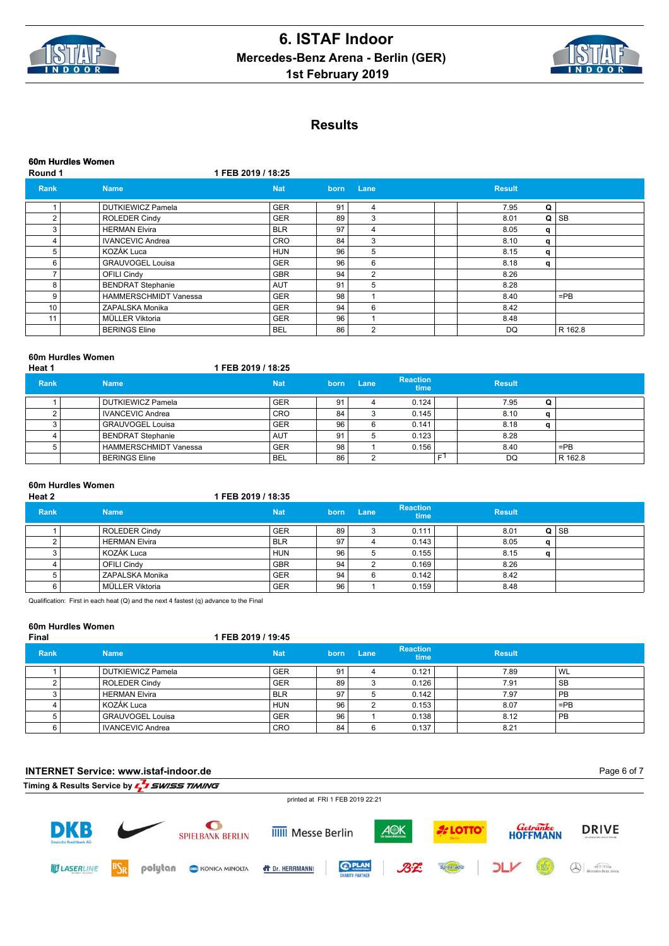



**Round 1 1 FEB 2019 / 18:25**

| Rank | <b>Name</b>                  | <b>Nat</b> | born | Lane | <b>Result</b> |   |           |
|------|------------------------------|------------|------|------|---------------|---|-----------|
|      | <b>DUTKIEWICZ Pamela</b>     | <b>GER</b> | 91   | 4    | 7.95          | Q |           |
| 2    | <b>ROLEDER Cindy</b>         | <b>GER</b> | 89   | 3    | 8.01          | Q | <b>SB</b> |
| 3    | <b>HERMAN Elvira</b>         | <b>BLR</b> | 97   | 4    | 8.05          | q |           |
| 4    | <b>IVANCEVIC Andrea</b>      | CRO        | 84   | 3    | 8.10          | q |           |
| 5    | KOZÁK Luca                   | <b>HUN</b> | 96   | 5    | 8.15          | q |           |
| 6    | <b>GRAUVOGEL Louisa</b>      | <b>GER</b> | 96   | 6    | 8.18          | q |           |
|      | <b>OFILI Cindy</b>           | <b>GBR</b> | 94   | 2    | 8.26          |   |           |
| 8    | <b>BENDRAT Stephanie</b>     | <b>AUT</b> | 91   | 5    | 8.28          |   |           |
| 9    | <b>HAMMERSCHMIDT Vanessa</b> | <b>GER</b> | 98   |      | 8.40          |   | $=$ PB    |
| 10   | ZAPALSKA Monika              | <b>GER</b> | 94   | 6    | 8.42          |   |           |
| 11   | MÜLLER Viktoria              | <b>GER</b> | 96   |      | 8.48          |   |           |
|      | <b>BERINGS Eline</b>         | <b>BEL</b> | 86   | 2    | DQ            |   | R 162.8   |

| Heat 1      | <b>UVIII HULUIGS VYUIIIGII</b> | 1 FEB 2019 / 18:25 |      |      |                         |               |              |         |  |
|-------------|--------------------------------|--------------------|------|------|-------------------------|---------------|--------------|---------|--|
| <b>Rank</b> | <b>Name</b>                    | <b>Nat</b>         | born | Lane | <b>Reaction</b><br>time | <b>Result</b> |              |         |  |
|             | DUTKIEWICZ Pamela              | <b>GER</b>         | 91   |      | 0.124                   | 7.95          | Q            |         |  |
|             | <b>IVANCEVIC Andrea</b>        | <b>CRO</b>         | 84   | 3    | 0.145                   | 8.10          | a            |         |  |
|             | <b>GRAUVOGEL Louisa</b>        | <b>GER</b>         | 96   | 6    | 0.141                   | 8.18          | $\mathbf{a}$ |         |  |
|             | <b>BENDRAT Stephanie</b>       | <b>AUT</b>         | 91   |      | 0.123                   | 8.28          |              |         |  |
|             | <b>HAMMERSCHMIDT Vanessa</b>   | <b>GER</b>         | 98   |      | 0.156                   | 8.40          |              | $=$ PB  |  |
|             | <b>BERINGS Eline</b>           | <b>BEL</b>         | 86   |      |                         | c۱<br>DQ      |              | R 162.8 |  |

# **60m Hurdles Women**

**60m Hurdles Women**

#### **Heat 2 1 FEB 2019 / 18:35 Rank Name Nat born Lane Reaction time Result** 1 ROLEDER Cindy GER 89 3 0.111 8.01 **Q** SB 2 HERMAN Elvira BLR 97 4 0.143 8.05 **q** 3 KOZÁK Luca HUN 96 5 0.155 8.15 **q** 4 | | OFILI Cindy | GBR | 94 | 2 0.169 | 8.26 5 ZAPALSKA Monika GER 94 6 0.142 8.42 6 MÜLLER Viktoria GER 96 1 0.159 8.48

Qualification: First in each heat (Q) and the next 4 fastest (q) advance to the Final

## **60m Hurdles Women**

| Final       |                          | I FEB 2019 / 19:45 |      |      |                                |               |           |
|-------------|--------------------------|--------------------|------|------|--------------------------------|---------------|-----------|
| <b>Rank</b> | <b>Name</b>              | <b>Nat</b>         | born | Lane | <b>Reaction</b><br><b>time</b> | <b>Result</b> |           |
|             | <b>DUTKIEWICZ Pamela</b> | <b>GER</b>         | 91   |      | 0.121                          | 7.89          | WL        |
|             | <b>ROLEDER Cindy</b>     | <b>GER</b>         | 89   |      | 0.126                          | 7.91          | SB        |
|             | <b>HERMAN Elvira</b>     | <b>BLR</b>         | 97   |      | 0.142                          | 7.97          | PB        |
|             | KOZÁK Luca               | <b>HUN</b>         | 96   |      | 0.153                          | 8.07          | $=$ PB    |
|             | <b>GRAUVOGEL Louisa</b>  | <b>GER</b>         | 96   |      | 0.138                          | 8.12          | <b>PB</b> |
|             | IVANCEVIC Andrea         | <b>CRO</b>         | 84   | 6    | 0.137                          | 8.21          |           |